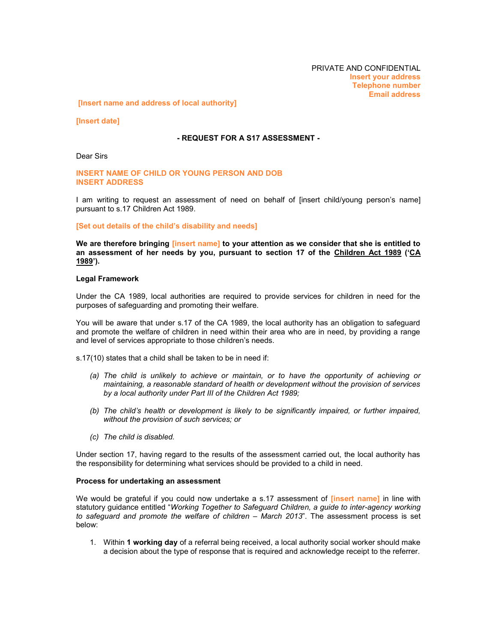**[Insert name and address of local authority]**

**[Insert date]**

## **- REQUEST FOR A S17ASSESSMENT -**

Dear Sirs

**INSERT NAME OF CHILD OR YOUNG PERSON AND DOB INSERT ADDRESS**

I am writing to request an assessment of need on behalf of [insert child/young person's name] pursuant to s.17 Children Act 1989.

**[Set out details of the childís disability and needs]**

**W e are therefore bringing [insert name] to your attention as we consider that she is entitled to an assessment of her needs by you,pursuant to section 17 of the Children Act 1989 (ëCA 1989í).**

## **Legal Framework**

Under the CA 1989, local authorities are required to provide services for children in need for the purposes of safeguarding and promoting their welfare.

You will be aware that under s.17 of the CA 1989, the local authority has an obligation to safeguard and promote the welfare of children in need within their area who are in need, by providing a range and level of services appropriate to those children's needs.

s.17(10) states that a child shall be taken to be in need if:

- *(a) The child is unlikely to achieve or maintain, or to have the opportunity of achieving or maintaining, a reasonable standard of health or development without the provision of services by a local authority under Part III of the Children Act 1989;*
- *(b) The childís health or development is likely to be significantly impaired, or further impaired, without the provision of such services; or*
- *(c) The child is disabled.*

Under section 17, having regard to the results of the assessment carried out, the local authority has the responsibility for determining what services should be provided to a child in need.

## **Process for undertaking an assessment**

We would be grateful if you could now undertake a s.17 assessment of **[insert name]** in line with statutoryguidance entitledì*W orking Together to Safeguard Children, a guide to inter-agency working to* safeguard and promote the welfare of children – March 2013<sup>"</sup>. The assessment process is set below:

1. Within 1 working day of a referral being received, a local authority social worker should make a decision about the type of response that is required and acknowledge receipt to the referrer.